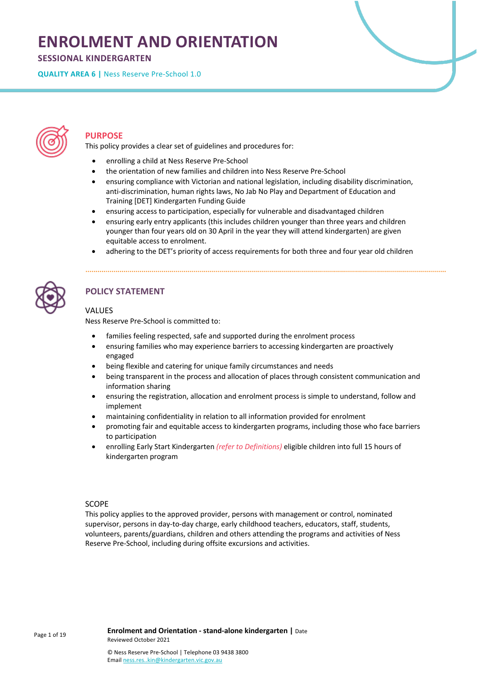# **ENROLMENT AND ORIENTATION**

**SESSIONAL KINDERGARTEN** 

**QUALITY AREA 6 |** Ness Reserve Pre-School 1.0



## **PURPOSE**

This policy provides a clear set of guidelines and procedures for:

- enrolling a child at Ness Reserve Pre-School
- the orientation of new families and children into Ness Reserve Pre-School
- ensuring compliance with Victorian and national legislation, including disability discrimination, anti-discrimination, human rights laws, No Jab No Play and Department of Education and Training [DET] Kindergarten Funding Guide
- ensuring access to participation, especially for vulnerable and disadvantaged children
- ensuring early entry applicants (this includes children younger than three years and children younger than four years old on 30 April in the year they will attend kindergarten) are given equitable access to enrolment.
- adhering to the DET's priority of access requirements for both three and four year old children



## **POLICY STATEMENT**

## VALUES

Ness Reserve Pre-School is committed to:

- families feeling respected, safe and supported during the enrolment process
- ensuring families who may experience barriers to accessing kindergarten are proactively engaged
- being flexible and catering for unique family circumstances and needs
- being transparent in the process and allocation of places through consistent communication and information sharing
- ensuring the registration, allocation and enrolment process is simple to understand, follow and implement
- maintaining confidentiality in relation to all information provided for enrolment
- promoting fair and equitable access to kindergarten programs, including those who face barriers to participation
- enrolling Early Start Kindergarten *(refer to Definitions)* eligible children into full 15 hours of kindergarten program

### SCOPE

This policy applies to the approved provider, persons with management or control, nominated supervisor, persons in day-to-day charge, early childhood teachers, educators, staff, students, volunteers, parents/guardians, children and others attending the programs and activities of Ness Reserve Pre-School, including during offsite excursions and activities.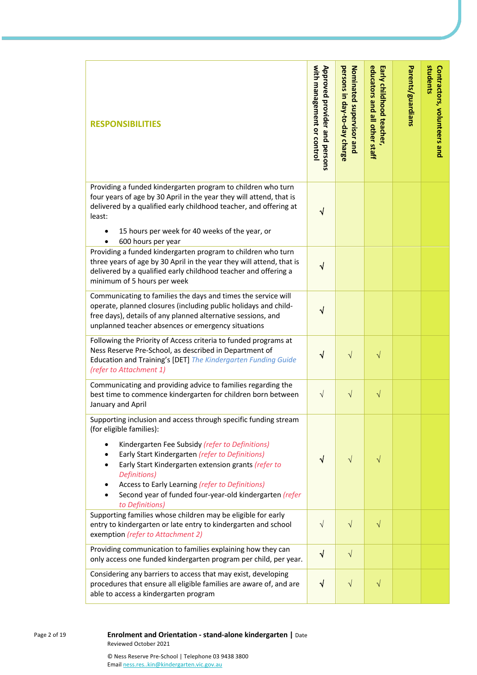| <b>RESPONSIBILITIES</b>                                                                                                                                                                                                                                                                                                                                                                                   | with management or control<br>Approved provider and persons | persons in day-to-day charge<br>Nominated supervisor and | educators and all other staff<br>Early childhood teacher, | Parents/guardians | students<br>Contractors, volunteers and |
|-----------------------------------------------------------------------------------------------------------------------------------------------------------------------------------------------------------------------------------------------------------------------------------------------------------------------------------------------------------------------------------------------------------|-------------------------------------------------------------|----------------------------------------------------------|-----------------------------------------------------------|-------------------|-----------------------------------------|
| Providing a funded kindergarten program to children who turn<br>four years of age by 30 April in the year they will attend, that is<br>delivered by a qualified early childhood teacher, and offering at<br>least:<br>15 hours per week for 40 weeks of the year, or                                                                                                                                      | ٧                                                           |                                                          |                                                           |                   |                                         |
| 600 hours per year<br>Providing a funded kindergarten program to children who turn<br>three years of age by 30 April in the year they will attend, that is<br>delivered by a qualified early childhood teacher and offering a<br>minimum of 5 hours per week                                                                                                                                              | $\sqrt{}$                                                   |                                                          |                                                           |                   |                                         |
| Communicating to families the days and times the service will<br>operate, planned closures (including public holidays and child-<br>free days), details of any planned alternative sessions, and<br>unplanned teacher absences or emergency situations                                                                                                                                                    | $\sqrt{}$                                                   |                                                          |                                                           |                   |                                         |
| Following the Priority of Access criteria to funded programs at<br>Ness Reserve Pre-School, as described in Department of<br>Education and Training's [DET] The Kindergarten Funding Guide<br>(refer to Attachment 1)                                                                                                                                                                                     | √                                                           | $\sqrt{}$                                                | V                                                         |                   |                                         |
| Communicating and providing advice to families regarding the<br>best time to commence kindergarten for children born between<br>January and April                                                                                                                                                                                                                                                         | $\sqrt{ }$                                                  | $\sqrt{ }$                                               | $\sqrt{}$                                                 |                   |                                         |
| Supporting inclusion and access through specific funding stream<br>(for eligible families):<br>Kindergarten Fee Subsidy (refer to Definitions)<br>Early Start Kindergarten (refer to Definitions)<br>Early Start Kindergarten extension grants (refer to<br>Definitions)<br>Access to Early Learning (refer to Definitions)<br>Second year of funded four-year-old kindergarten (refer<br>to Definitions) | $\sqrt{}$                                                   | $\sqrt{}$                                                | $\sqrt{}$                                                 |                   |                                         |
| Supporting families whose children may be eligible for early<br>entry to kindergarten or late entry to kindergarten and school<br>exemption (refer to Attachment 2)                                                                                                                                                                                                                                       | $\sqrt{}$                                                   | $\sqrt{}$                                                | $\sqrt{}$                                                 |                   |                                         |
| Providing communication to families explaining how they can<br>only access one funded kindergarten program per child, per year.                                                                                                                                                                                                                                                                           | $\sqrt{}$                                                   | $\sqrt{}$                                                |                                                           |                   |                                         |
| Considering any barriers to access that may exist, developing<br>procedures that ensure all eligible families are aware of, and are<br>able to access a kindergarten program                                                                                                                                                                                                                              | $\sqrt{}$                                                   | $\sqrt{ }$                                               | $\sqrt{}$                                                 |                   |                                         |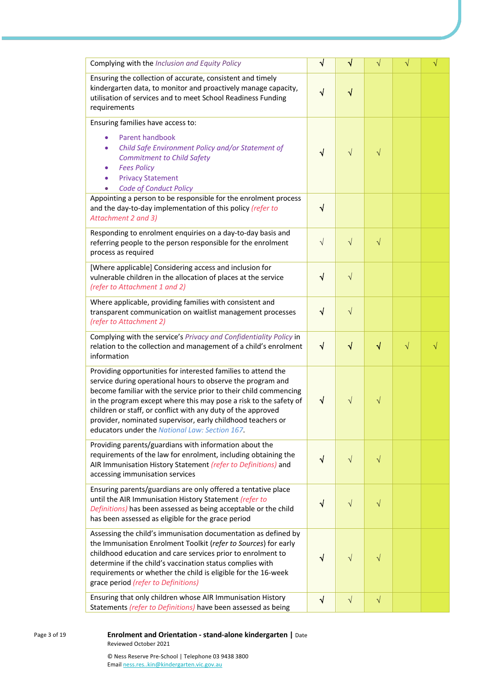| Complying with the Inclusion and Equity Policy                                                                                                                                                                                                                                                                                                                                                                                                         |            | √         | $\sqrt{}$ | $\sqrt{}$ | $\sqrt{}$ |
|--------------------------------------------------------------------------------------------------------------------------------------------------------------------------------------------------------------------------------------------------------------------------------------------------------------------------------------------------------------------------------------------------------------------------------------------------------|------------|-----------|-----------|-----------|-----------|
| Ensuring the collection of accurate, consistent and timely<br>kindergarten data, to monitor and proactively manage capacity,<br>utilisation of services and to meet School Readiness Funding<br>requirements                                                                                                                                                                                                                                           | $\sqrt{}$  | $\sqrt{}$ |           |           |           |
| Ensuring families have access to:                                                                                                                                                                                                                                                                                                                                                                                                                      |            |           |           |           |           |
| Parent handbook<br>Child Safe Environment Policy and/or Statement of<br><b>Commitment to Child Safety</b><br><b>Fees Policy</b><br><b>Privacy Statement</b><br>Code of Conduct Policy                                                                                                                                                                                                                                                                  | $\sqrt{}$  | $\sqrt{}$ | V         |           |           |
| Appointing a person to be responsible for the enrolment process<br>and the day-to-day implementation of this policy (refer to<br>Attachment 2 and 3)                                                                                                                                                                                                                                                                                                   | $\sqrt{ }$ |           |           |           |           |
| Responding to enrolment enquiries on a day-to-day basis and<br>referring people to the person responsible for the enrolment<br>process as required                                                                                                                                                                                                                                                                                                     | $\sqrt{ }$ | $\sqrt{}$ | $\sqrt{}$ |           |           |
| [Where applicable] Considering access and inclusion for<br>vulnerable children in the allocation of places at the service<br>(refer to Attachment 1 and 2)                                                                                                                                                                                                                                                                                             | $\sqrt{ }$ | $\sqrt{}$ |           |           |           |
| Where applicable, providing families with consistent and<br>transparent communication on waitlist management processes<br>(refer to Attachment 2)                                                                                                                                                                                                                                                                                                      | $\sqrt{}$  | $\sqrt{}$ |           |           |           |
| Complying with the service's Privacy and Confidentiality Policy in<br>relation to the collection and management of a child's enrolment<br>information                                                                                                                                                                                                                                                                                                  | $\sqrt{ }$ | $\sqrt{}$ | $\sqrt{}$ | $\sqrt{}$ | $\sqrt{}$ |
| Providing opportunities for interested families to attend the<br>service during operational hours to observe the program and<br>become familiar with the service prior to their child commencing<br>in the program except where this may pose a risk to the safety of<br>children or staff, or conflict with any duty of the approved<br>provider, nominated supervisor, early childhood teachers or<br>educators under the National Law: Section 167. | ٧          | $\sqrt{}$ | $\sqrt{}$ |           |           |
| Providing parents/guardians with information about the<br>requirements of the law for enrolment, including obtaining the<br>AIR Immunisation History Statement (refer to Definitions) and<br>accessing immunisation services                                                                                                                                                                                                                           | $\sqrt{ }$ | $\sqrt{}$ | $\sqrt{}$ |           |           |
| Ensuring parents/guardians are only offered a tentative place<br>until the AIR Immunisation History Statement (refer to<br>Definitions) has been assessed as being acceptable or the child<br>has been assessed as eligible for the grace period                                                                                                                                                                                                       | $\sqrt{}$  | $\sqrt{}$ | $\sqrt{}$ |           |           |
| Assessing the child's immunisation documentation as defined by<br>the Immunisation Enrolment Toolkit (refer to Sources) for early<br>childhood education and care services prior to enrolment to<br>determine if the child's vaccination status complies with<br>requirements or whether the child is eligible for the 16-week<br>grace period (refer to Definitions)                                                                                  | V          | $\sqrt{}$ | V         |           |           |
| Ensuring that only children whose AIR Immunisation History<br>Statements (refer to Definitions) have been assessed as being                                                                                                                                                                                                                                                                                                                            | $\sqrt{ }$ | $\sqrt{}$ | $\sqrt{}$ |           |           |

Page 3 of 19 **Enrolment and Orientation - stand-alone kindergarten |** Date Reviewed October 2021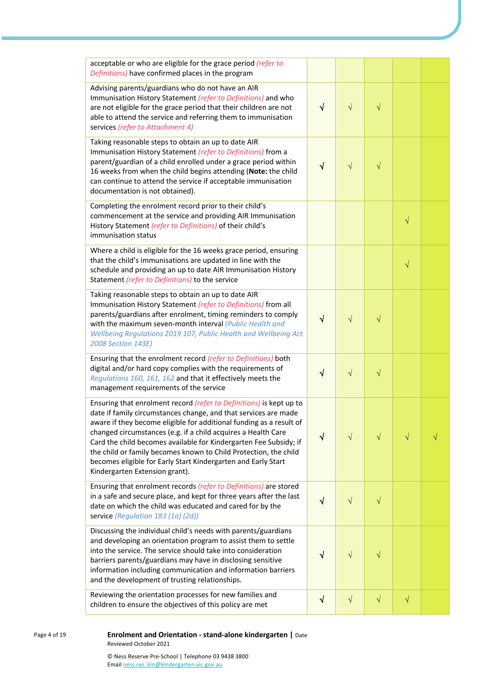| acceptable or who are eligible for the grace period (refer to                                                                                                                                                                                                                                                                                                                                                                                                                                                              |            |            |           |           |  |
|----------------------------------------------------------------------------------------------------------------------------------------------------------------------------------------------------------------------------------------------------------------------------------------------------------------------------------------------------------------------------------------------------------------------------------------------------------------------------------------------------------------------------|------------|------------|-----------|-----------|--|
| Definitions) have confirmed places in the program                                                                                                                                                                                                                                                                                                                                                                                                                                                                          |            |            |           |           |  |
| Advising parents/guardians who do not have an AIR<br>Immunisation History Statement (refer to Definitions) and who<br>are not eligible for the grace period that their children are not<br>able to attend the service and referring them to immunisation<br>services (refer to Attachment 4)                                                                                                                                                                                                                               | $\sqrt{}$  | $\sqrt{}$  | $\sqrt{}$ |           |  |
| Taking reasonable steps to obtain an up to date AIR<br>Immunisation History Statement (refer to Definitions) from a<br>parent/guardian of a child enrolled under a grace period within<br>16 weeks from when the child begins attending (Note: the child<br>can continue to attend the service if acceptable immunisation<br>documentation is not obtained).                                                                                                                                                               | $\sqrt{}$  | $\sqrt{}$  | $\sqrt{}$ |           |  |
| Completing the enrolment record prior to their child's<br>commencement at the service and providing AIR Immunisation<br>History Statement (refer to Definitions) of their child's<br>immunisation status                                                                                                                                                                                                                                                                                                                   |            |            |           | $\sqrt{}$ |  |
| Where a child is eligible for the 16 weeks grace period, ensuring<br>that the child's immunisations are updated in line with the<br>schedule and providing an up to date AIR Immunisation History<br>Statement (refer to Definitions) to the service                                                                                                                                                                                                                                                                       |            |            |           | $\sqrt{}$ |  |
| Taking reasonable steps to obtain an up to date AIR<br>Immunisation History Statement (refer to Definitions) from all<br>parents/guardians after enrolment, timing reminders to comply<br>with the maximum seven-month interval (Public Health and<br>Wellbeing Regulations 2019 107, Public Health and Wellbeing Act<br>2008 Section 143E)                                                                                                                                                                                | √          | $\sqrt{}$  | $\sqrt{}$ |           |  |
| Ensuring that the enrolment record (refer to Definitions) both<br>digital and/or hard copy complies with the requirements of<br>Regulations 160, 161, 162 and that it effectively meets the<br>management requirements of the service                                                                                                                                                                                                                                                                                      | $\sqrt{}$  | $\sqrt{ }$ | $\sqrt{}$ |           |  |
| Ensuring that enrolment record (refer to Definitions) is kept up to<br>date if family circumstances change, and that services are made<br>aware if they become eligible for additional funding as a result of<br>changed circumstances (e.g. if a child acquires a Health Care<br>Card the child becomes available for Kindergarten Fee Subsidy; if<br>the child or family becomes known to Child Protection, the child<br>becomes eligible for Early Start Kindergarten and Early Start<br>Kindergarten Extension grant). | V          | $\sqrt{}$  | $\sqrt{}$ | $\sqrt{}$ |  |
| Ensuring that enrolment records (refer to Definitions) are stored<br>in a safe and secure place, and kept for three years after the last<br>date on which the child was educated and cared for by the<br>service (Regulation 183 (1a) (2d))                                                                                                                                                                                                                                                                                | √          | V          | $\sqrt{}$ |           |  |
| Discussing the individual child's needs with parents/guardians<br>and developing an orientation program to assist them to settle<br>into the service. The service should take into consideration<br>barriers parents/guardians may have in disclosing sensitive<br>information including communication and information barriers<br>and the development of trusting relationships.                                                                                                                                          | √          | $\sqrt{}$  | $\sqrt{}$ |           |  |
| Reviewing the orientation processes for new families and<br>children to ensure the objectives of this policy are met                                                                                                                                                                                                                                                                                                                                                                                                       | $\sqrt{ }$ | $\sqrt{}$  | $\sqrt{}$ | $\sqrt{}$ |  |

<sup>4</sup> of 19 **Enrolment and Orientation - stand -alone kindergarten |** Date Reviewed October 2021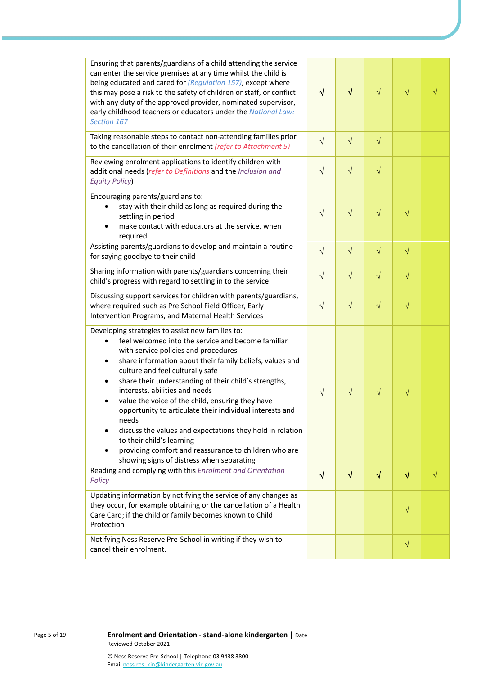| Ensuring that parents/guardians of a child attending the service<br>can enter the service premises at any time whilst the child is<br>being educated and cared for (Regulation 157), except where<br>this may pose a risk to the safety of children or staff, or conflict<br>with any duty of the approved provider, nominated supervisor,<br>early childhood teachers or educators under the National Law:<br>Section 167                                                                                                                                                                                                                                                      | $\sqrt{ }$ | $\sqrt{}$ | $\sqrt{}$ | $\sqrt{}$ |           |
|---------------------------------------------------------------------------------------------------------------------------------------------------------------------------------------------------------------------------------------------------------------------------------------------------------------------------------------------------------------------------------------------------------------------------------------------------------------------------------------------------------------------------------------------------------------------------------------------------------------------------------------------------------------------------------|------------|-----------|-----------|-----------|-----------|
| Taking reasonable steps to contact non-attending families prior<br>to the cancellation of their enrolment (refer to Attachment 5)                                                                                                                                                                                                                                                                                                                                                                                                                                                                                                                                               | $\sqrt{}$  | $\sqrt{}$ | $\sqrt{}$ |           |           |
| Reviewing enrolment applications to identify children with<br>additional needs (refer to Definitions and the Inclusion and<br><b>Equity Policy</b>                                                                                                                                                                                                                                                                                                                                                                                                                                                                                                                              | $\sqrt{ }$ | $\sqrt{}$ | $\sqrt{}$ |           |           |
| Encouraging parents/guardians to:<br>stay with their child as long as required during the<br>settling in period<br>make contact with educators at the service, when<br>required                                                                                                                                                                                                                                                                                                                                                                                                                                                                                                 | $\sqrt{}$  | $\sqrt{}$ | $\sqrt{}$ | $\sqrt{}$ |           |
| Assisting parents/guardians to develop and maintain a routine<br>for saying goodbye to their child                                                                                                                                                                                                                                                                                                                                                                                                                                                                                                                                                                              | $\sqrt{ }$ | $\sqrt{}$ | $\sqrt{}$ | $\sqrt{}$ |           |
| Sharing information with parents/guardians concerning their<br>child's progress with regard to settling in to the service                                                                                                                                                                                                                                                                                                                                                                                                                                                                                                                                                       | $\sqrt{}$  | $\sqrt{}$ | $\sqrt{}$ | $\sqrt{}$ |           |
| Discussing support services for children with parents/guardians,<br>where required such as Pre School Field Officer, Early<br>Intervention Programs, and Maternal Health Services                                                                                                                                                                                                                                                                                                                                                                                                                                                                                               | $\sqrt{ }$ | $\sqrt{}$ | $\sqrt{}$ | $\sqrt{}$ |           |
| Developing strategies to assist new families to:<br>feel welcomed into the service and become familiar<br>$\bullet$<br>with service policies and procedures<br>share information about their family beliefs, values and<br>culture and feel culturally safe<br>share their understanding of their child's strengths,<br>interests, abilities and needs<br>value the voice of the child, ensuring they have<br>opportunity to articulate their individual interests and<br>needs<br>discuss the values and expectations they hold in relation<br>to their child's learning<br>providing comfort and reassurance to children who are<br>showing signs of distress when separating | $\sqrt{}$  | $\sqrt{}$ | $\sqrt{}$ | $\sqrt{}$ |           |
| Reading and complying with this Enrolment and Orientation<br>Policy                                                                                                                                                                                                                                                                                                                                                                                                                                                                                                                                                                                                             | $\sqrt{}$  | $\sqrt{}$ | $\sqrt{}$ | √         | $\sqrt{}$ |
| Updating information by notifying the service of any changes as<br>they occur, for example obtaining or the cancellation of a Health<br>Care Card; if the child or family becomes known to Child<br>Protection                                                                                                                                                                                                                                                                                                                                                                                                                                                                  |            |           |           | $\sqrt{}$ |           |
| Notifying Ness Reserve Pre-School in writing if they wish to<br>cancel their enrolment.                                                                                                                                                                                                                                                                                                                                                                                                                                                                                                                                                                                         |            |           |           | $\sqrt{}$ |           |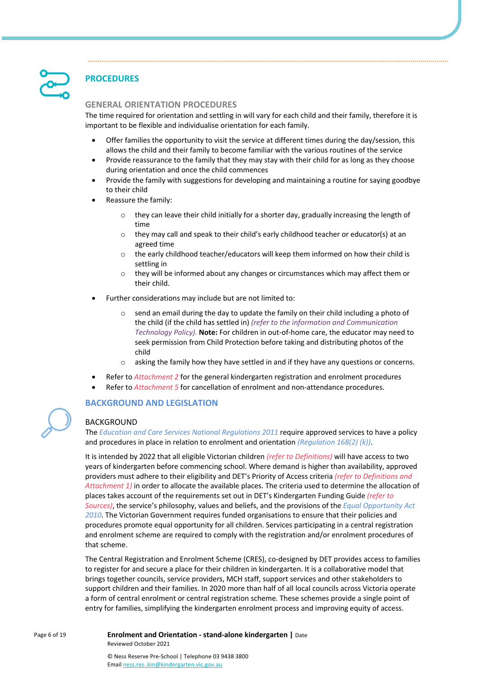## **PROCEDURES**

## **GENERAL ORIENTATION PROCEDURES**

The time required for orientation and settling in will vary for each child and their family, therefore it is important to be flexible and individualise orientation for each family.

- Offer families the opportunity to visit the service at different times during the day/session, this allows the child and their family to become familiar with the various routines of the service
- Provide reassurance to the family that they may stay with their child for as long as they choose during orientation and once the child commences
- Provide the family with suggestions for developing and maintaining a routine for saying goodbye to their child
- Reassure the family:
	- $\circ$  they can leave their child initially for a shorter day, gradually increasing the length of time
	- o they may call and speak to their child's early childhood teacher or educator(s) at an agreed time
	- $\circ$  the early childhood teacher/educators will keep them informed on how their child is settling in
	- o they will be informed about any changes or circumstances which may affect them or their child.
- Further considerations may include but are not limited to:
	- $\circ$  send an email during the day to update the family on their child including a photo of the child (if the child has settled in) *(refer to the information and Communication Technology Policy).* **Note:** For children in out-of-home care, the educator may need to seek permission from Child Protection before taking and distributing photos of the child
	- o asking the family how they have settled in and if they have any questions or concerns.
	- Refer to *Attachment 2* for the general kindergarten registration and enrolment procedures
- Refer to *Attachment 5* for cancellation of enrolment and non-attendance procedures.

## **BACKGROUND AND LEGISLATION**

### BACKGROUND

The *Education and Care Services National Regulations 2011* require approved services to have a policy and procedures in place in relation to enrolment and orientation *(Regulation 168(2) (k))*.

It is intended by 2022 that all eligible Victorian children *(refer to Definitions)* will have access to two years of kindergarten before commencing school. Where demand is higher than availability, approved providers must adhere to their eligibility and DET's Priority of Access criteria *(refer to Definitions and Attachment 1)* in order to allocate the available places. The criteria used to determine the allocation of places takes account of the requirements set out in DET's Kindergarten Funding Guide *(refer to Sources)*, the service's philosophy, values and beliefs, and the provisions of the *Equal Opportunity Act 2010*. The Victorian Government requires funded organisations to ensure that their policies and procedures promote equal opportunity for all children. Services participating in a central registration and enrolment scheme are required to comply with the registration and/or enrolment procedures of that scheme.

The Central Registration and Enrolment Scheme (CRES), co-designed by DET provides access to families to register for and secure a place for their children in kindergarten. It is a collaborative model that brings together councils, service providers, MCH staff, support services and other stakeholders to support children and their families. In 2020 more than half of all local councils across Victoria operate a form of central enrolment or central registration scheme. These schemes provide a single point of entry for families, simplifying the kindergarten enrolment process and improving equity of access.

#### Page 6 of 19 **Enrolment and Orientation - stand-alone kindergarten |** Date Reviewed October 2021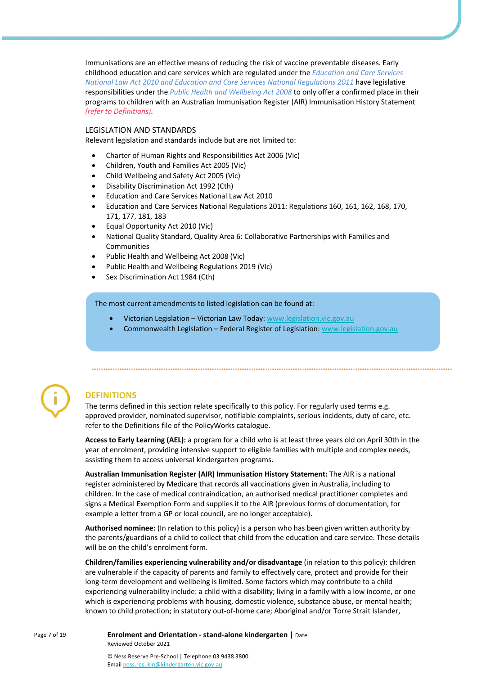Immunisations are an effective means of reducing the risk of vaccine preventable diseases. Early childhood education and care services which are regulated under the *Education and Care Services National Law Act 2010 and Education and Care Services National Regulations 2011* have legislative responsibilities under the *Public Health and Wellbeing Act 2008* to only offer a confirmed place in their programs to children with an Australian Immunisation Register (AIR) Immunisation History Statement *(refer to Definitions)*.

#### LEGISLATION AND STANDARDS

Relevant legislation and standards include but are not limited to:

- Charter of Human Rights and Responsibilities Act 2006 (Vic)
- Children, Youth and Families Act 2005 (Vic)
- Child Wellbeing and Safety Act 2005 (Vic)
- Disability Discrimination Act 1992 (Cth)
- Education and Care Services National Law Act 2010
- Education and Care Services National Regulations 2011: Regulations 160, 161, 162, 168, 170, 171, 177, 181, 183
- Equal Opportunity Act 2010 (Vic)
- National Quality Standard, Quality Area 6: Collaborative Partnerships with Families and Communities
- Public Health and Wellbeing Act 2008 (Vic)
- Public Health and Wellbeing Regulations 2019 (Vic)
- Sex Discrimination Act 1984 (Cth)

The most current amendments to listed legislation can be found at:

- Victorian Legislation Victorian Law Today: www.legislation.vic.gov.au
- Commonwealth Legislation Federal Register of Legislation: www.legislation.gov.au



## **DEFINITIONS**

The terms defined in this section relate specifically to this policy. For regularly used terms e.g. approved provider, nominated supervisor, notifiable complaints, serious incidents, duty of care, etc. refer to the Definitions file of the PolicyWorks catalogue.

**Access to Early Learning (AEL):** a program for a child who is at least three years old on April 30th in the year of enrolment, providing intensive support to eligible families with multiple and complex needs, assisting them to access universal kindergarten programs.

**Australian Immunisation Register (AIR) Immunisation History Statement:** The AIR is a national register administered by Medicare that records all vaccinations given in Australia, including to children. In the case of medical contraindication, an authorised medical practitioner completes and signs a Medical Exemption Form and supplies it to the AIR (previous forms of documentation, for example a letter from a GP or local council, are no longer acceptable).

**Authorised nominee:** (In relation to this policy) is a person who has been given written authority by the parents/guardians of a child to collect that child from the education and care service. These details will be on the child's enrolment form.

**Children/families experiencing vulnerability and/or disadvantage** (in relation to this policy): children are vulnerable if the capacity of parents and family to effectively care, protect and provide for their long-term development and wellbeing is limited. Some factors which may contribute to a child experiencing vulnerability include: a child with a disability; living in a family with a low income, or one which is experiencing problems with housing, domestic violence, substance abuse, or mental health; known to child protection; in statutory out-of-home care; Aboriginal and/or Torre Strait Islander,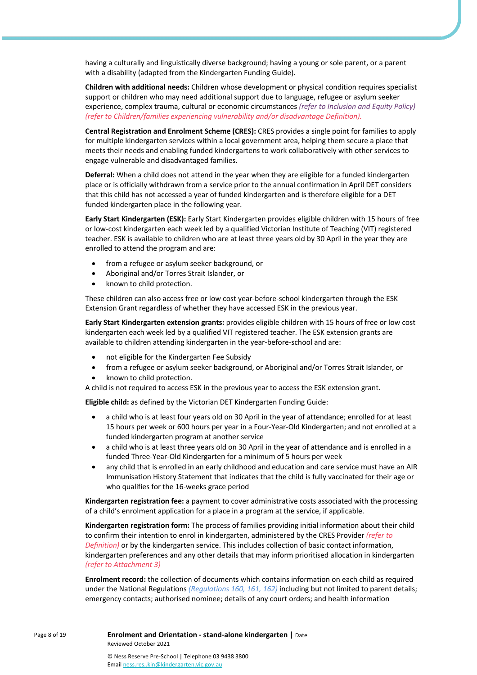having a culturally and linguistically diverse background; having a young or sole parent, or a parent with a disability (adapted from the Kindergarten Funding Guide).

**Children with additional needs:** Children whose development or physical condition requires specialist support or children who may need additional support due to language, refugee or asylum seeker experience, complex trauma, cultural or economic circumstances *(refer to Inclusion and Equity Policy) (refer to Children/families experiencing vulnerability and/or disadvantage Definition).*

**Central Registration and Enrolment Scheme (CRES):** CRES provides a single point for families to apply for multiple kindergarten services within a local government area, helping them secure a place that meets their needs and enabling funded kindergartens to work collaboratively with other services to engage vulnerable and disadvantaged families.

**Deferral:** When a child does not attend in the year when they are eligible for a funded kindergarten place or is officially withdrawn from a service prior to the annual confirmation in April DET considers that this child has not accessed a year of funded kindergarten and is therefore eligible for a DET funded kindergarten place in the following year.

**Early Start Kindergarten (ESK):** Early Start Kindergarten provides eligible children with 15 hours of free or low-cost kindergarten each week led by a qualified Victorian Institute of Teaching (VIT) registered teacher. ESK is available to children who are at least three years old by 30 April in the year they are enrolled to attend the program and are:

- from a refugee or asylum seeker background, or
- Aboriginal and/or Torres Strait Islander, or
- known to child protection.

These children can also access free or low cost year-before-school kindergarten through the ESK Extension Grant regardless of whether they have accessed ESK in the previous year.

**Early Start Kindergarten extension grants:** provides eligible children with 15 hours of free or low cost kindergarten each week led by a qualified VIT registered teacher. The ESK extension grants are available to children attending kindergarten in the year-before-school and are:

- not eligible for the Kindergarten Fee Subsidy
- from a refugee or asylum seeker background, or Aboriginal and/or Torres Strait Islander, or
- known to child protection.

A child is not required to access ESK in the previous year to access the ESK extension grant.

**Eligible child:** as defined by the Victorian DET Kindergarten Funding Guide:

- a child who is at least four years old on 30 April in the year of attendance; enrolled for at least 15 hours per week or 600 hours per year in a Four-Year-Old Kindergarten; and not enrolled at a funded kindergarten program at another service
- a child who is at least three years old on 30 April in the year of attendance and is enrolled in a funded Three-Year-Old Kindergarten for a minimum of 5 hours per week
- any child that is enrolled in an early childhood and education and care service must have an AIR Immunisation History Statement that indicates that the child is fully vaccinated for their age or who qualifies for the 16-weeks grace period

**Kindergarten registration fee:** a payment to cover administrative costs associated with the processing of a child's enrolment application for a place in a program at the service, if applicable.

**Kindergarten registration form:** The process of families providing initial information about their child to confirm their intention to enrol in kindergarten, administered by the CRES Provider *(refer to Definition)* or by the kindergarten service. This includes collection of basic contact information, kindergarten preferences and any other details that may inform prioritised allocation in kindergarten *(refer to Attachment 3)*

**Enrolment record:** the collection of documents which contains information on each child as required under the National Regulations *(Regulations 160, 161, 162)* including but not limited to parent details; emergency contacts; authorised nominee; details of any court orders; and health information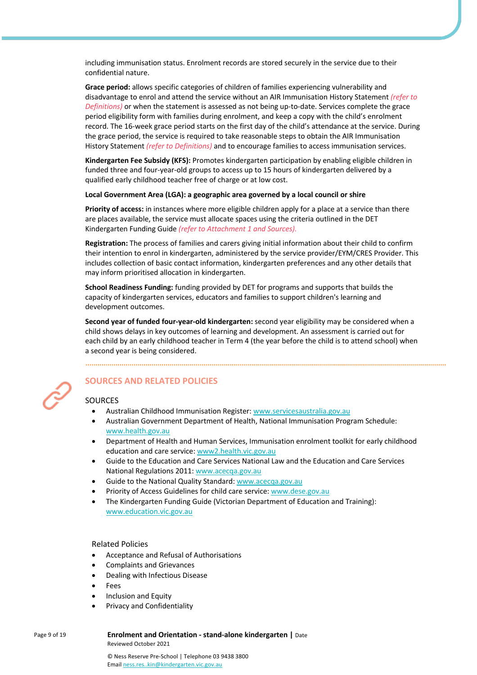including immunisation status. Enrolment records are stored securely in the service due to their confidential nature.

**Grace period:** allows specific categories of children of families experiencing vulnerability and disadvantage to enrol and attend the service without an AIR Immunisation History Statement *(refer to Definitions)* or when the statement is assessed as not being up-to-date. Services complete the grace period eligibility form with families during enrolment, and keep a copy with the child's enrolment record. The 16-week grace period starts on the first day of the child's attendance at the service. During the grace period, the service is required to take reasonable steps to obtain the AIR Immunisation History Statement *(refer to Definitions)* and to encourage families to access immunisation services.

**Kindergarten Fee Subsidy (KFS):** Promotes kindergarten participation by enabling eligible children in funded three and four-year-old groups to access up to 15 hours of kindergarten delivered by a qualified early childhood teacher free of charge or at low cost.

#### **Local Government Area (LGA): a geographic area governed by a local council or shire**

**Priority of access:** in instances where more eligible children apply for a place at a service than there are places available, the service must allocate spaces using the criteria outlined in the DET Kindergarten Funding Guide *(refer to Attachment 1 and Sources).*

**Registration:** The process of families and carers giving initial information about their child to confirm their intention to enrol in kindergarten, administered by the service provider/EYM/CRES Provider. This includes collection of basic contact information, kindergarten preferences and any other details that may inform prioritised allocation in kindergarten.

**School Readiness Funding:** funding provided by DET for programs and supports that builds the capacity of kindergarten services, educators and families to support children's learning and development outcomes.

**Second year of funded four-year-old kindergarten:** second year eligibility may be considered when a child shows delays in key outcomes of learning and development. An assessment is carried out for each child by an early childhood teacher in Term 4 (the year before the child is to attend school) when a second year is being considered.

## **SOURCES AND RELATED POLICIES**

## **SOURCES**

- Australian Childhood Immunisation Register: www.servicesaustralia.gov.au
- Australian Government Department of Health, National Immunisation Program Schedule: www.health.gov.au
- Department of Health and Human Services, Immunisation enrolment toolkit for early childhood education and care service: www2.health.vic.gov.au
- Guide to the Education and Care Services National Law and the Education and Care Services National Regulations 2011: www.acecqa.gov.au
- Guide to the National Quality Standard: www.acecqa.gov.au
- Priority of Access Guidelines for child care service: www.dese.gov.au
- The Kindergarten Funding Guide (Victorian Department of Education and Training): www.education.vic.gov.au

### Related Policies

- Acceptance and Refusal of Authorisations
- Complaints and Grievances
- Dealing with Infectious Disease
- **Fees**
- Inclusion and Equity
- Privacy and Confidentiality

#### Page 9 of 19 **Enrolment and Orientation - stand-alone kindergarten |** Date Reviewed October 2021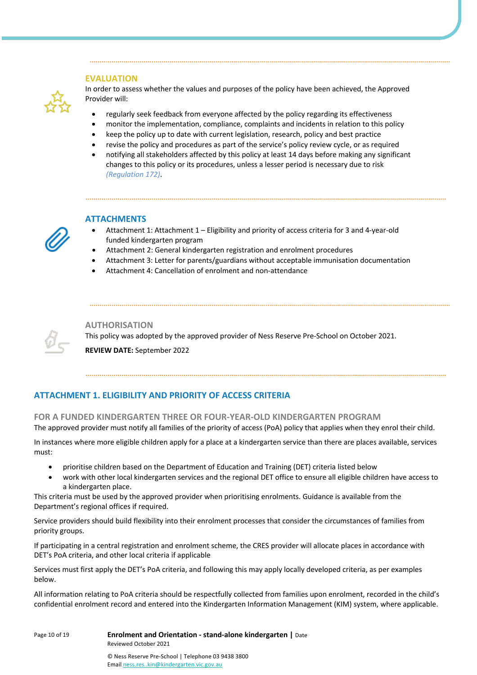## **EVALUATION**



In order to assess whether the values and purposes of the policy have been achieved, the Approved Provider will:

- regularly seek feedback from everyone affected by the policy regarding its effectiveness
- monitor the implementation, compliance, complaints and incidents in relation to this policy
- keep the policy up to date with current legislation, research, policy and best practice
- revise the policy and procedures as part of the service's policy review cycle, or as required
- notifying all stakeholders affected by this policy at least 14 days before making any significant changes to this policy or its procedures, unless a lesser period is necessary due to risk *(Regulation 172)*.



## **ATTACHMENTS**

- Attachment 1: Attachment 1 Eligibility and priority of access criteria for 3 and 4-year-old funded kindergarten program
- Attachment 2: General kindergarten registration and enrolment procedures
- Attachment 3: Letter for parents/guardians without acceptable immunisation documentation
- Attachment 4: Cancellation of enrolment and non-attendance



**AUTHORISATION**

This policy was adopted by the approved provider of Ness Reserve Pre-School on October 2021.

**REVIEW DATE:** September 2022

## **ATTACHMENT 1. ELIGIBILITY AND PRIORITY OF ACCESS CRITERIA**

**FOR A FUNDED KINDERGARTEN THREE OR FOUR-YEAR-OLD KINDERGARTEN PROGRAM**

The approved provider must notify all families of the priority of access (PoA) policy that applies when they enrol their child.

In instances where more eligible children apply for a place at a kindergarten service than there are places available, services must:

- prioritise children based on the Department of Education and Training (DET) criteria listed below
- work with other local kindergarten services and the regional DET office to ensure all eligible children have access to a kindergarten place.

This criteria must be used by the approved provider when prioritising enrolments. Guidance is available from the Department's regional offices if required.

Service providers should build flexibility into their enrolment processes that consider the circumstances of families from priority groups.

If participating in a central registration and enrolment scheme, the CRES provider will allocate places in accordance with DET's PoA criteria, and other local criteria if applicable

Services must first apply the DET's PoA criteria, and following this may apply locally developed criteria, as per examples below.

All information relating to PoA criteria should be respectfully collected from families upon enrolment, recorded in the child's confidential enrolment record and entered into the Kindergarten Information Management (KIM) system, where applicable.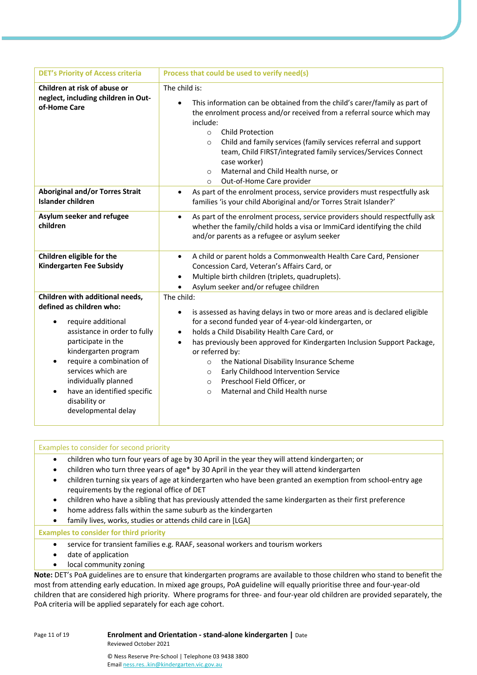| <b>DET's Priority of Access criteria</b>                                                                                                                                                                                                                                                                                                                | Process that could be used to verify need(s)                                                                                                                                                                                                                                                                                                                                                                                                                                                                                         |
|---------------------------------------------------------------------------------------------------------------------------------------------------------------------------------------------------------------------------------------------------------------------------------------------------------------------------------------------------------|--------------------------------------------------------------------------------------------------------------------------------------------------------------------------------------------------------------------------------------------------------------------------------------------------------------------------------------------------------------------------------------------------------------------------------------------------------------------------------------------------------------------------------------|
| Children at risk of abuse or<br>neglect, including children in Out-<br>of-Home Care                                                                                                                                                                                                                                                                     | The child is:<br>This information can be obtained from the child's carer/family as part of<br>$\bullet$<br>the enrolment process and/or received from a referral source which may<br>include:<br><b>Child Protection</b><br>$\circ$<br>Child and family services (family services referral and support<br>$\circ$<br>team, Child FIRST/integrated family services/Services Connect<br>case worker)<br>Maternal and Child Health nurse, or<br>$\circ$<br>Out-of-Home Care provider<br>$\circ$                                         |
| <b>Aboriginal and/or Torres Strait</b><br>Islander children                                                                                                                                                                                                                                                                                             | As part of the enrolment process, service providers must respectfully ask<br>$\bullet$<br>families 'is your child Aboriginal and/or Torres Strait Islander?'                                                                                                                                                                                                                                                                                                                                                                         |
| Asylum seeker and refugee<br>children                                                                                                                                                                                                                                                                                                                   | As part of the enrolment process, service providers should respectfully ask<br>$\bullet$<br>whether the family/child holds a visa or ImmiCard identifying the child<br>and/or parents as a refugee or asylum seeker                                                                                                                                                                                                                                                                                                                  |
| Children eligible for the<br><b>Kindergarten Fee Subsidy</b>                                                                                                                                                                                                                                                                                            | A child or parent holds a Commonwealth Health Care Card, Pensioner<br>$\bullet$<br>Concession Card, Veteran's Affairs Card, or<br>Multiple birth children (triplets, quadruplets).<br>$\bullet$<br>Asylum seeker and/or refugee children                                                                                                                                                                                                                                                                                             |
| Children with additional needs,<br>defined as children who:<br>require additional<br>$\bullet$<br>assistance in order to fully<br>participate in the<br>kindergarten program<br>require a combination of<br>$\bullet$<br>services which are<br>individually planned<br>have an identified specific<br>$\bullet$<br>disability or<br>developmental delay | The child:<br>is assessed as having delays in two or more areas and is declared eligible<br>٠<br>for a second funded year of 4-year-old kindergarten, or<br>holds a Child Disability Health Care Card, or<br>$\bullet$<br>has previously been approved for Kindergarten Inclusion Support Package,<br>$\bullet$<br>or referred by:<br>the National Disability Insurance Scheme<br>$\circ$<br>Early Childhood Intervention Service<br>$\circ$<br>Preschool Field Officer, or<br>$\circ$<br>Maternal and Child Health nurse<br>$\circ$ |

| Examples to consider for second priority                                                                                                                                                                                                                                                                                                                                                                                                                                                                                                                                                                                            |
|-------------------------------------------------------------------------------------------------------------------------------------------------------------------------------------------------------------------------------------------------------------------------------------------------------------------------------------------------------------------------------------------------------------------------------------------------------------------------------------------------------------------------------------------------------------------------------------------------------------------------------------|
| children who turn four years of age by 30 April in the year they will attend kindergarten; or<br>٠<br>children who turn three years of age* by 30 April in the year they will attend kindergarten<br>children turning six years of age at kindergarten who have been granted an exemption from school-entry age<br>$\bullet$<br>requirements by the regional office of DET<br>children who have a sibling that has previously attended the same kindergarten as their first preference<br>$\bullet$<br>home address falls within the same suburb as the kindergarten<br>family lives, works, studies or attends child care in [LGA] |
| <b>Examples to consider for third priority</b>                                                                                                                                                                                                                                                                                                                                                                                                                                                                                                                                                                                      |
| service for transient families e.g. RAAF, seasonal workers and tourism workers<br>٠<br>date of application<br>$\bullet$<br>local community zoning                                                                                                                                                                                                                                                                                                                                                                                                                                                                                   |
| Note: DET's PoA guidelines are to ensure that kindergarten programs are available to those children who stand to benefit the<br>most from attending early education. In mixed age groups, PoA guideline will equally prioritise three and four-year-old<br>children aber en eenstden dichten nienke AAR-en nasensas fenalinge waal ferm meer eil ekildren ens nasmided eensaarskrake abe                                                                                                                                                                                                                                            |

most from attending early education. In mixed age groups, PoA guideline will equally prioritise three and four-year-old children that are considered high priority. Where programs for three- and four-year old children are provided separately, the PoA criteria will be applied separately for each age cohort.

Page 11 of 19 **Enrolment and Orientation - stand-alone kindergarten |** Date

Reviewed October 2021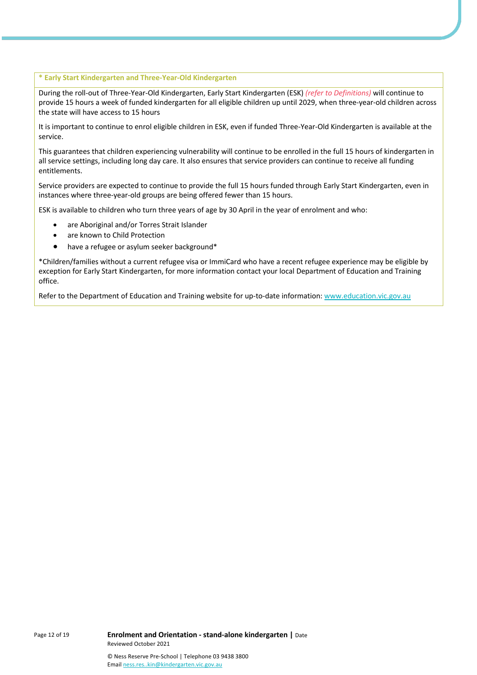#### **\* Early Start Kindergarten and Three-Year-Old Kindergarten**

During the roll-out of Three-Year-Old Kindergarten, Early Start Kindergarten (ESK) *(refer to Definitions)* will continue to provide 15 hours a week of funded kindergarten for all eligible children up until 2029, when three-year-old children across the state will have access to 15 hours

It is important to continue to enrol eligible children in ESK, even if funded Three-Year-Old Kindergarten is available at the service.

This guarantees that children experiencing vulnerability will continue to be enrolled in the full 15 hours of kindergarten in all service settings, including long day care. It also ensures that service providers can continue to receive all funding entitlements.

Service providers are expected to continue to provide the full 15 hours funded through Early Start Kindergarten, even in instances where three-year-old groups are being offered fewer than 15 hours.

ESK is available to children who turn three years of age by 30 April in the year of enrolment and who:

- are Aboriginal and/or Torres Strait Islander
- are known to Child Protection
- have a refugee or asylum seeker background\*

\*Children/families without a current refugee visa or ImmiCard who have a recent refugee experience may be eligible by exception for Early Start Kindergarten, for more information contact your local Department of Education and Training office.

Refer to the Department of Education and Training website for up-to-date information: www.education.vic.gov.au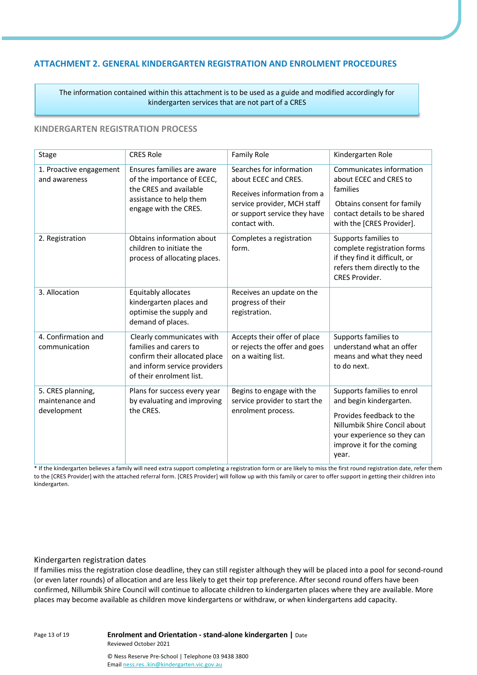## **ATTACHMENT 2. GENERAL KINDERGARTEN REGISTRATION AND ENROLMENT PROCEDURES**

The information contained within this attachment is to be used as a guide and modified accordingly for kindergarten services that are not part of a CRES

## **KINDERGARTEN REGISTRATION PROCESS**

| <b>Stage</b>                                        | <b>CRES Role</b>                                                                                                                                 | <b>Family Role</b>                                                                                                                                              | Kindergarten Role                                                                                                                                                                      |
|-----------------------------------------------------|--------------------------------------------------------------------------------------------------------------------------------------------------|-----------------------------------------------------------------------------------------------------------------------------------------------------------------|----------------------------------------------------------------------------------------------------------------------------------------------------------------------------------------|
| 1. Proactive engagement<br>and awareness            | Ensures families are aware<br>of the importance of ECEC,<br>the CRES and available<br>assistance to help them<br>engage with the CRES.           | Searches for information<br>about ECEC and CRES.<br>Receives information from a<br>service provider, MCH staff<br>or support service they have<br>contact with. | Communicates information<br>about ECEC and CRES to<br>families<br>Obtains consent for family<br>contact details to be shared<br>with the [CRES Provider].                              |
| 2. Registration                                     | Obtains information about<br>children to initiate the<br>process of allocating places.                                                           | Completes a registration<br>form.                                                                                                                               | Supports families to<br>complete registration forms<br>if they find it difficult, or<br>refers them directly to the<br><b>CRES Provider.</b>                                           |
| 3. Allocation                                       | Equitably allocates<br>kindergarten places and<br>optimise the supply and<br>demand of places.                                                   | Receives an update on the<br>progress of their<br>registration.                                                                                                 |                                                                                                                                                                                        |
| 4. Confirmation and<br>communication                | Clearly communicates with<br>families and carers to<br>confirm their allocated place<br>and inform service providers<br>of their enrolment list. | Accepts their offer of place<br>or rejects the offer and goes<br>on a waiting list.                                                                             | Supports families to<br>understand what an offer<br>means and what they need<br>to do next.                                                                                            |
| 5. CRES planning,<br>maintenance and<br>development | Plans for success every year<br>by evaluating and improving<br>the CRES.                                                                         | Begins to engage with the<br>service provider to start the<br>enrolment process.                                                                                | Supports families to enrol<br>and begin kindergarten.<br>Provides feedback to the<br>Nillumbik Shire Concil about<br>your experience so they can<br>improve it for the coming<br>year. |

\* If the kindergarten believes a family will need extra support completing a registration form or are likely to miss the first round registration date, refer them to the [CRES Provider] with the attached referral form. [CRES Provider] will follow up with this family or carer to offer support in getting their children into kindergarten.

### Kindergarten registration dates

If families miss the registration close deadline, they can still register although they will be placed into a pool for second-round (or even later rounds) of allocation and are less likely to get their top preference. After second round offers have been confirmed, Nillumbik Shire Council will continue to allocate children to kindergarten places where they are available. More places may become available as children move kindergartens or withdraw, or when kindergartens add capacity.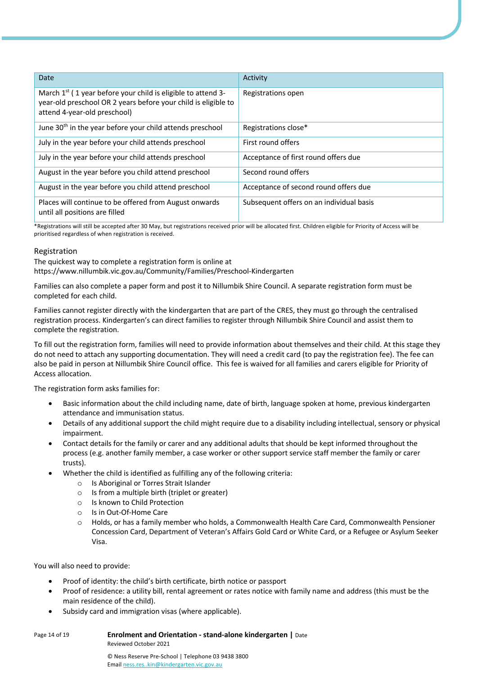| Date                                                                                                                                                             | Activity                                 |
|------------------------------------------------------------------------------------------------------------------------------------------------------------------|------------------------------------------|
| March $1st$ (1 year before your child is eligible to attend 3-<br>year-old preschool OR 2 years before your child is eligible to<br>attend 4-year-old preschool) | Registrations open                       |
| June 30 <sup>th</sup> in the year before your child attends preschool                                                                                            | Registrations close*                     |
| July in the year before your child attends preschool                                                                                                             | First round offers                       |
| July in the year before your child attends preschool                                                                                                             | Acceptance of first round offers due     |
| August in the year before you child attend preschool                                                                                                             | Second round offers                      |
| August in the year before you child attend preschool                                                                                                             | Acceptance of second round offers due    |
| Places will continue to be offered from August onwards<br>until all positions are filled                                                                         | Subsequent offers on an individual basis |

\*Registrations will still be accepted after 30 May, but registrations received prior will be allocated first. Children eligible for Priority of Access will be prioritised regardless of when registration is received.

### Registration

The quickest way to complete a registration form is online at https://www.nillumbik.vic.gov.au/Community/Families/Preschool-Kindergarten

Families can also complete a paper form and post it to Nillumbik Shire Council. A separate registration form must be completed for each child.

Families cannot register directly with the kindergarten that are part of the CRES, they must go through the centralised registration process. Kindergarten's can direct families to register through Nillumbik Shire Council and assist them to complete the registration.

To fill out the registration form, families will need to provide information about themselves and their child. At this stage they do not need to attach any supporting documentation. They will need a credit card (to pay the registration fee). The fee can also be paid in person at Nillumbik Shire Council office. This fee is waived for all families and carers eligible for Priority of Access allocation.

The registration form asks families for:

- Basic information about the child including name, date of birth, language spoken at home, previous kindergarten attendance and immunisation status.
- Details of any additional support the child might require due to a disability including intellectual, sensory or physical impairment.
- Contact details for the family or carer and any additional adults that should be kept informed throughout the process (e.g. another family member, a case worker or other support service staff member the family or carer trusts).
- Whether the child is identified as fulfilling any of the following criteria:
	- o Is Aboriginal or Torres Strait Islander
	- $\circ$  Is from a multiple birth (triplet or greater)
	- o Is known to Child Protection
	- o Is in Out-Of-Home Care
	- o Holds, or has a family member who holds, a Commonwealth Health Care Card, Commonwealth Pensioner Concession Card, Department of Veteran's Affairs Gold Card or White Card, or a Refugee or Asylum Seeker Visa.

You will also need to provide:

- Proof of identity: the child's birth certificate, birth notice or passport
- Proof of residence: a utility bill, rental agreement or rates notice with family name and address (this must be the main residence of the child).
- Subsidy card and immigration visas (where applicable).

| Page 14 of 19 | <b>Enrolment and Orientation - stand-alone kindergarten   Date</b> |  |
|---------------|--------------------------------------------------------------------|--|
|               | Reviewed October 2021                                              |  |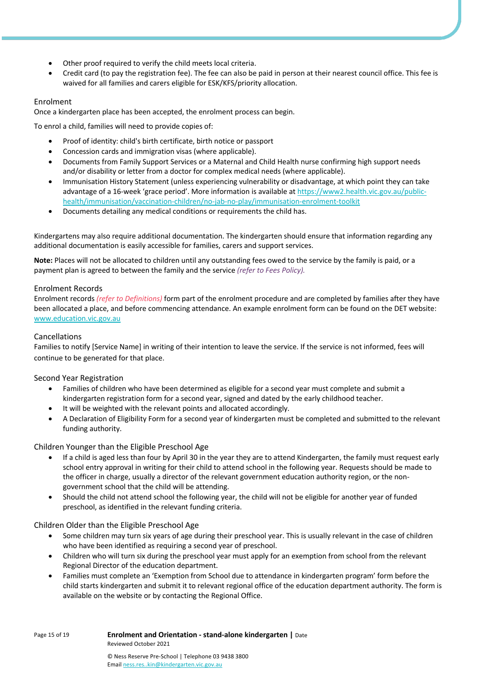- Other proof required to verify the child meets local criteria.
- Credit card (to pay the registration fee). The fee can also be paid in person at their nearest council office. This fee is waived for all families and carers eligible for ESK/KFS/priority allocation.

## Enrolment

Once a kindergarten place has been accepted, the enrolment process can begin.

To enrol a child, families will need to provide copies of:

- Proof of identity: child's birth certificate, birth notice or passport
- Concession cards and immigration visas (where applicable).
- Documents from Family Support Services or a Maternal and Child Health nurse confirming high support needs and/or disability or letter from a doctor for complex medical needs (where applicable).
- Immunisation History Statement (unless experiencing vulnerability or disadvantage, at which point they can take advantage of a 16-week 'grace period'. More information is available at https://www2.health.vic.gov.au/publichealth/immunisation/vaccination-children/no-jab-no-play/immunisation-enrolment-toolkit
- Documents detailing any medical conditions or requirements the child has.

Kindergartens may also require additional documentation. The kindergarten should ensure that information regarding any additional documentation is easily accessible for families, carers and support services.

**Note:** Places will not be allocated to children until any outstanding fees owed to the service by the family is paid, or a payment plan is agreed to between the family and the service *(refer to Fees Policy).*

## Enrolment Records

Enrolment records *(refer to Definitions)* form part of the enrolment procedure and are completed by families after they have been allocated a place, and before commencing attendance. An example enrolment form can be found on the DET website: www.education.vic.gov.au

## Cancellations

Families to notify [Service Name] in writing of their intention to leave the service. If the service is not informed, fees will continue to be generated for that place.

## Second Year Registration

- Families of children who have been determined as eligible for a second year must complete and submit a kindergarten registration form for a second year, signed and dated by the early childhood teacher.
- It will be weighted with the relevant points and allocated accordingly.
- A Declaration of Eligibility Form for a second year of kindergarten must be completed and submitted to the relevant funding authority.

## Children Younger than the Eligible Preschool Age

- If a child is aged less than four by April 30 in the year they are to attend Kindergarten, the family must request early school entry approval in writing for their child to attend school in the following year. Requests should be made to the officer in charge, usually a director of the relevant government education authority region, or the nongovernment school that the child will be attending.
- Should the child not attend school the following year, the child will not be eligible for another year of funded preschool, as identified in the relevant funding criteria.

## Children Older than the Eligible Preschool Age

- Some children may turn six years of age during their preschool year. This is usually relevant in the case of children who have been identified as requiring a second year of preschool.
- Children who will turn six during the preschool year must apply for an exemption from school from the relevant Regional Director of the education department.
- Families must complete an 'Exemption from School due to attendance in kindergarten program' form before the child starts kindergarten and submit it to relevant regional office of the education department authority. The form is available on the website or by contacting the Regional Office.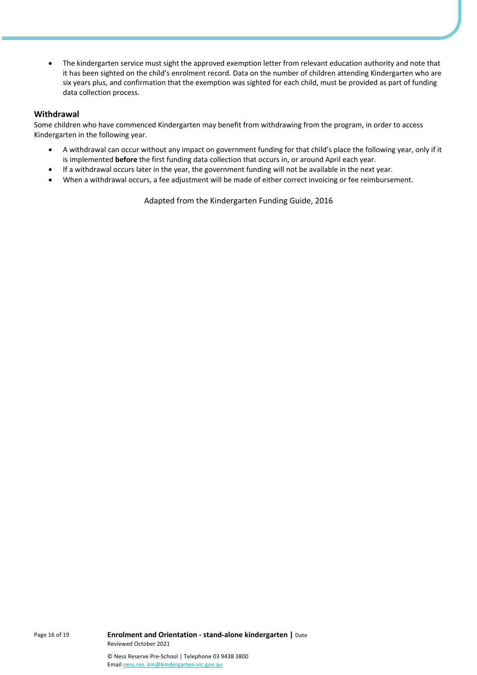• The kindergarten service must sight the approved exemption letter from relevant education authority and note that it has been sighted on the child's enrolment record. Data on the number of children attending Kindergarten who are six years plus, and confirmation that the exemption was sighted for each child, must be provided as part of funding data collection process.

## **Withdrawal**

Some children who have commenced Kindergarten may benefit from withdrawing from the program, in order to access Kindergarten in the following year.

- A withdrawal can occur without any impact on government funding for that child's place the following year, only if it is implemented **before** the first funding data collection that occurs in, or around April each year.
- If a withdrawal occurs later in the year, the government funding will not be available in the next year.
- When a withdrawal occurs, a fee adjustment will be made of either correct invoicing or fee reimbursement.

Adapted from the Kindergarten Funding Guide, 2016

Page 16 of 19 **Enrolment and Orientation - stand-alone kindergarten |** Date Reviewed October 2021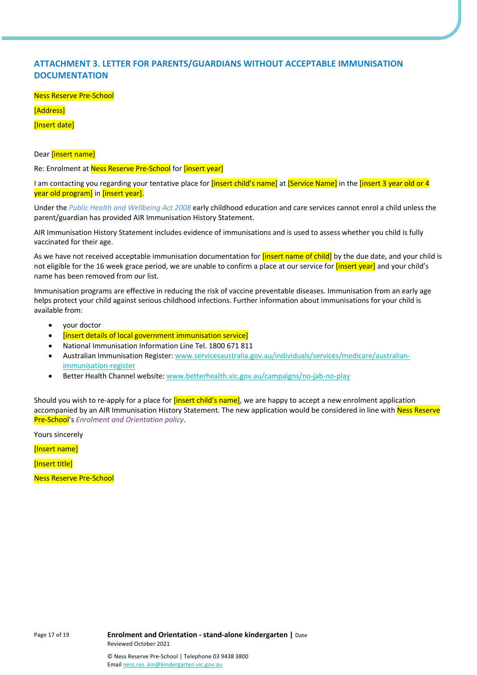## **ATTACHMENT 3. LETTER FOR PARENTS/GUARDIANS WITHOUT ACCEPTABLE IMMUNISATION DOCUMENTATION**

Ness Reserve Pre-School

[Address]

[Insert date]

Dear **[insert name]** 

Re: Enrolment at Ness Reserve Pre-School for *[insert year]* 

I am contacting you regarding your tentative place for *[insert child's name]* at *[Service Name]* in the *[insert 3 year old or 4* year old program] in [insert year].

Under the *Public Health and Wellbeing Act 2008* early childhood education and care services cannot enrol a child unless the parent/guardian has provided AIR Immunisation History Statement.

AIR Immunisation History Statement includes evidence of immunisations and is used to assess whether you child is fully vaccinated for their age.

As we have not received acceptable immunisation documentation for *[insert name of child]* by the due date, and your child is not eligible for the 16 week grace period, we are unable to confirm a place at our service for *[insert year]* and your child's name has been removed from our list.

Immunisation programs are effective in reducing the risk of vaccine preventable diseases. Immunisation from an early age helps protect your child against serious childhood infections. Further information about immunisations for your child is available from:

- your doctor
- [insert details of local government immunisation service]
- National Immunisation Information Line Tel. 1800 671 811
- Australian Immunisation Register: www.servicesaustralia.gov.au/individuals/services/medicare/australianimmunisation-register
- Better Health Channel website: www.betterhealth.vic.gov.au/campaigns/no-jab-no-play

Should you wish to re-apply for a place for *[insert child's name]*, we are happy to accept a new enrolment application accompanied by an AIR Immunisation History Statement. The new application would be considered in line with Ness Reserve Pre-School's *Enrolment and Orientation policy*.

Yours sincerely

[Insert name]

[Insert title]

Ness Reserve Pre-School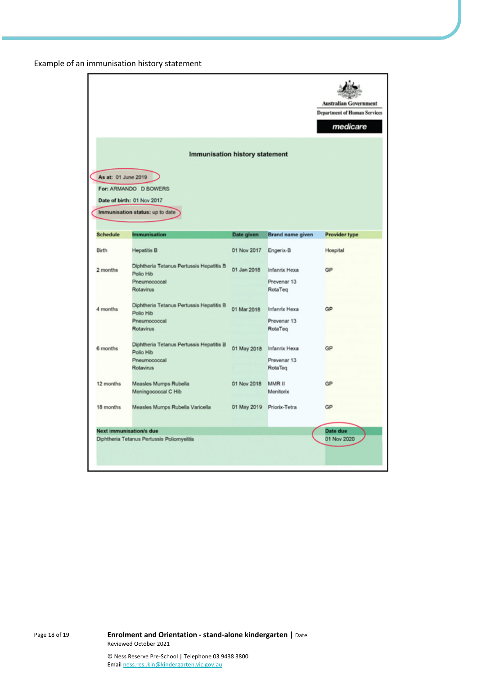## Example of an immunisation history statement

|                     |                                                       |                           |                      | <b>Australian Government</b><br><b>Department of Human Services</b><br>medicare |
|---------------------|-------------------------------------------------------|---------------------------|----------------------|---------------------------------------------------------------------------------|
|                     | <b>Immunisation history statement</b>                 |                           |                      |                                                                                 |
| As at: 01 June 2019 |                                                       |                           |                      |                                                                                 |
|                     | For: ARMANDO D BOWERS                                 |                           |                      |                                                                                 |
|                     | Date of birth: 01 Nov 2017                            |                           |                      |                                                                                 |
|                     | Immunisation status: up to date                       |                           |                      |                                                                                 |
| <b>Schedule</b>     | <b>Immunisation</b>                                   | Date given                | Brand name given     | Provider type                                                                   |
| Birth               | <b>Hepatitis B</b>                                    | 01 Nov 2017               | Engerix-B            | Hospital                                                                        |
| 2 months            | Diphtheria Tetanus Pertussis Hepatitis B<br>Polio Hib | 01 Jan 2018               | <b>Infanrix Hexa</b> | GP                                                                              |
|                     | Pneumococcal                                          |                           | Prevenar 13          |                                                                                 |
|                     | Rotavirus                                             |                           | RotaTeg              |                                                                                 |
| 4 months            | Diphtheria Tetanus Pertussis Hepatitis B<br>Polio Hib | 01 Mar 2018               | Infanrix Hexa        | GP                                                                              |
|                     | Pneumococcal                                          |                           | Prevenar 13          |                                                                                 |
|                     | Rotavirus                                             |                           | RotaTeg              |                                                                                 |
| 6 months            | Diphtheria Tetanus Pertussis Hepatitis B<br>Polio Hib | 01 May 2018               | Infanrix Hexa        | GP                                                                              |
|                     | Pneumococcal                                          |                           | Prevenar 13          |                                                                                 |
|                     | Rotavirus                                             |                           | RotaTeg              |                                                                                 |
| 12 months           | Measles Mumps Rubella                                 | 01 Nov 2018               | MMR II               | GP                                                                              |
|                     | Meningococcal C Hib                                   |                           | Menitorix            |                                                                                 |
| 18 months           | Measles Mumps Rubella Varicella                       | 01 May 2019 Priorix-Tetra |                      | GP                                                                              |
|                     | Next immunisation/s due                               |                           |                      | Date due                                                                        |
|                     | Diphtheria Tetanus Pertussis Poliomyelitis            |                           |                      | 01 Nov 2020                                                                     |
|                     |                                                       |                           |                      |                                                                                 |

Page 18 of 19 **Enrolment and Orientation - stand-alone kindergarten |** Date Reviewed October 2021